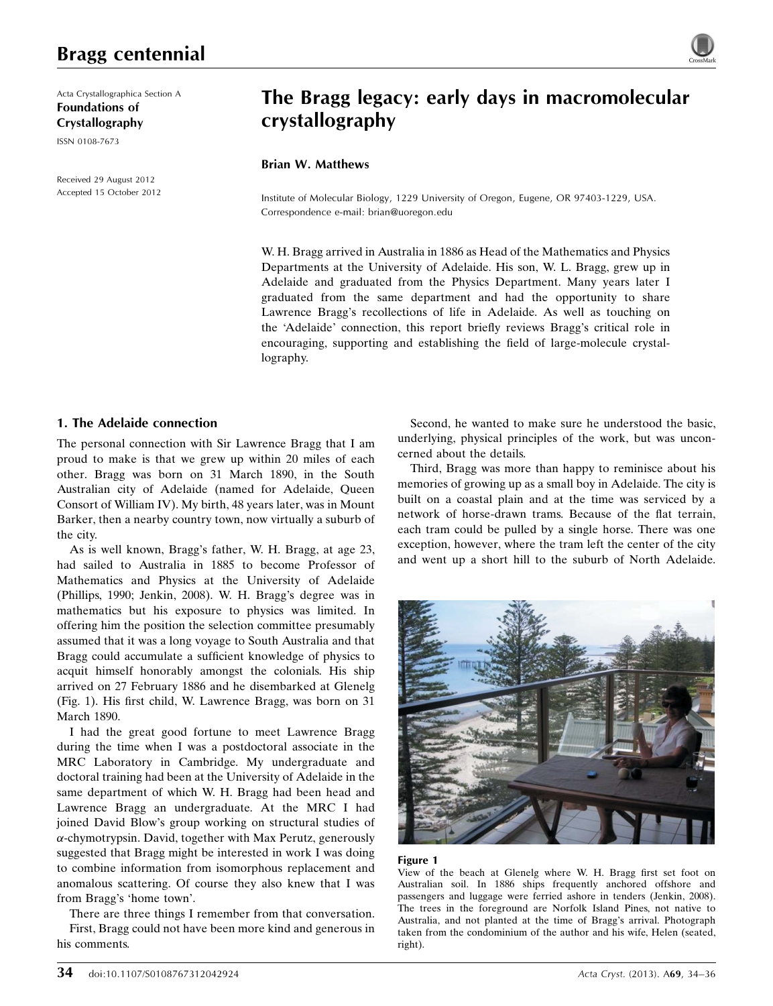Acta Crystallographica Section A Foundations of Crystallography ISSN 0108-7673

Received 29 August 2012 Accepted 15 October 2012

# The Bragg legacy: early days in macromolecular crystallography

## Brian W. Matthews

Institute of Molecular Biology, 1229 University of Oregon, Eugene, OR 97403-1229, USA. Correspondence e-mail: [brian@uoregon.edu](http://scripts.iucr.org/cgi-bin/cr.cgi?rm=pdfbb&cnor=wl5170&bbid=BB13)

W. H. Bragg arrived in Australia in 1886 as Head of the Mathematics and Physics Departments at the University of Adelaide. His son, W. L. Bragg, grew up in Adelaide and graduated from the Physics Department. Many years later I graduated from the same department and had the opportunity to share Lawrence Bragg's recollections of life in Adelaide. As well as touching on the 'Adelaide' connection, this report briefly reviews Bragg's critical role in encouraging, supporting and establishing the field of large-molecule crystallography.

# 1. The Adelaide connection

The personal connection with Sir Lawrence Bragg that I am proud to make is that we grew up within 20 miles of each other. Bragg was born on 31 March 1890, in the South Australian city of Adelaide (named for Adelaide, Queen Consort of William IV). My birth, 48 years later, was in Mount Barker, then a nearby country town, now virtually a suburb of the city.

As is well known, Bragg's father, W. H. Bragg, at age 23, had sailed to Australia in 1885 to become Professor of Mathematics and Physics at the University of Adelaide (Phillips, 1990; Jenkin, 2008). W. H. Bragg's degree was in mathematics but his exposure to physics was limited. In offering him the position the selection committee presumably assumed that it was a long voyage to South Australia and that Bragg could accumulate a sufficient knowledge of physics to acquit himself honorably amongst the colonials. His ship arrived on 27 February 1886 and he disembarked at Glenelg (Fig. 1). His first child, W. Lawrence Bragg, was born on 31 March 1890.

I had the great good fortune to meet Lawrence Bragg during the time when I was a postdoctoral associate in the MRC Laboratory in Cambridge. My undergraduate and doctoral training had been at the University of Adelaide in the same department of which W. H. Bragg had been head and Lawrence Bragg an undergraduate. At the MRC I had joined David Blow's group working on structural studies of a-chymotrypsin. David, together with Max Perutz, generously suggested that Bragg might be interested in work I was doing to combine information from isomorphous replacement and anomalous scattering. Of course they also knew that I was from Bragg's 'home town'.

There are three things I remember from that conversation.

First, Bragg could not have been more kind and generous in his comments.

Second, he wanted to make sure he understood the basic, underlying, physical principles of the work, but was unconcerned about the details.

Third, Bragg was more than happy to reminisce about his memories of growing up as a small boy in Adelaide. The city is built on a coastal plain and at the time was serviced by a network of horse-drawn trams. Because of the flat terrain, each tram could be pulled by a single horse. There was one exception, however, where the tram left the center of the city and went up a short hill to the suburb of North Adelaide.



#### Figure 1

View of the beach at Glenelg where W. H. Bragg first set foot on Australian soil. In 1886 ships frequently anchored offshore and passengers and luggage were ferried ashore in tenders (Jenkin, 2008). The trees in the foreground are Norfolk Island Pines, not native to Australia, and not planted at the time of Bragg's arrival. Photograph taken from the condominium of the author and his wife, Helen (seated, right).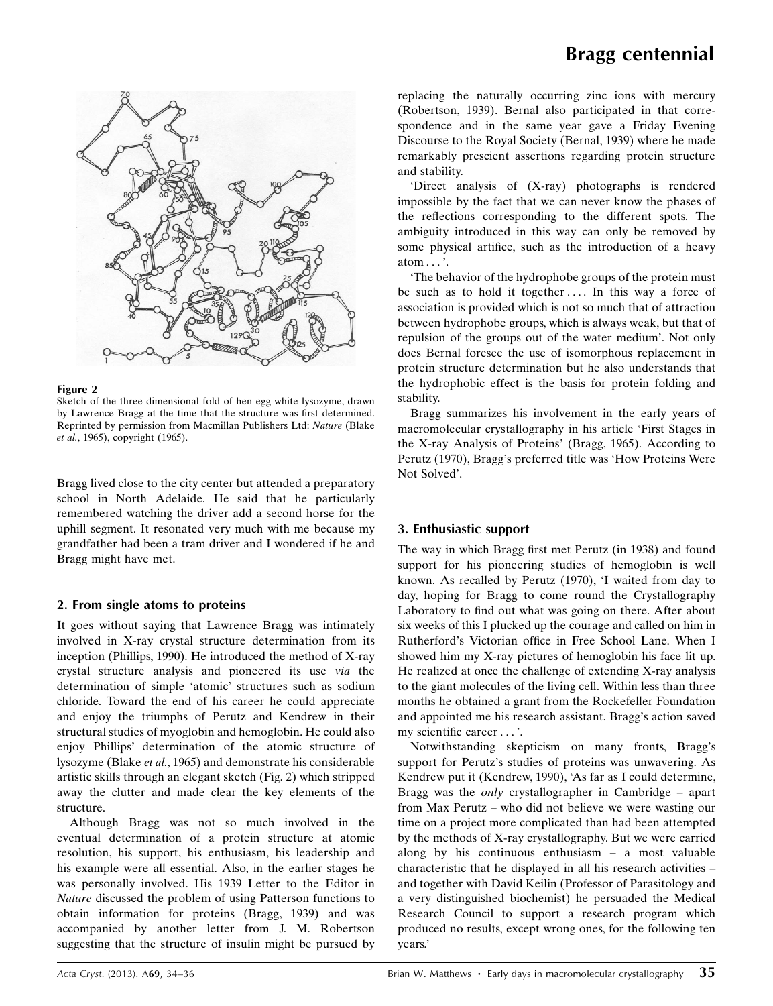

#### Figure 2

Sketch of the three-dimensional fold of hen egg-white lysozyme, drawn by Lawrence Bragg at the time that the structure was first determined. Reprinted by permission from Macmillan Publishers Ltd: Nature (Blake et al., 1965), copyright (1965).

Bragg lived close to the city center but attended a preparatory school in North Adelaide. He said that he particularly remembered watching the driver add a second horse for the uphill segment. It resonated very much with me because my grandfather had been a tram driver and I wondered if he and Bragg might have met.

# 2. From single atoms to proteins

It goes without saying that Lawrence Bragg was intimately involved in X-ray crystal structure determination from its inception (Phillips, 1990). He introduced the method of X-ray crystal structure analysis and pioneered its use via the determination of simple 'atomic' structures such as sodium chloride. Toward the end of his career he could appreciate and enjoy the triumphs of Perutz and Kendrew in their structural studies of myoglobin and hemoglobin. He could also enjoy Phillips' determination of the atomic structure of lysozyme (Blake et al., 1965) and demonstrate his considerable artistic skills through an elegant sketch (Fig. 2) which stripped away the clutter and made clear the key elements of the structure.

Although Bragg was not so much involved in the eventual determination of a protein structure at atomic resolution, his support, his enthusiasm, his leadership and his example were all essential. Also, in the earlier stages he was personally involved. His 1939 Letter to the Editor in Nature discussed the problem of using Patterson functions to obtain information for proteins (Bragg, 1939) and was accompanied by another letter from J. M. Robertson suggesting that the structure of insulin might be pursued by replacing the naturally occurring zinc ions with mercury (Robertson, 1939). Bernal also participated in that correspondence and in the same year gave a Friday Evening Discourse to the Royal Society (Bernal, 1939) where he made remarkably prescient assertions regarding protein structure and stability.

'Direct analysis of (X-ray) photographs is rendered impossible by the fact that we can never know the phases of the reflections corresponding to the different spots. The ambiguity introduced in this way can only be removed by some physical artifice, such as the introduction of a heavy atom ... '.

'The behavior of the hydrophobe groups of the protein must be such as to hold it together.... In this way a force of association is provided which is not so much that of attraction between hydrophobe groups, which is always weak, but that of repulsion of the groups out of the water medium'. Not only does Bernal foresee the use of isomorphous replacement in protein structure determination but he also understands that the hydrophobic effect is the basis for protein folding and stability.

Bragg summarizes his involvement in the early years of macromolecular crystallography in his article 'First Stages in the X-ray Analysis of Proteins' (Bragg, 1965). According to Perutz (1970), Bragg's preferred title was 'How Proteins Were Not Solved'.

# 3. Enthusiastic support

The way in which Bragg first met Perutz (in 1938) and found support for his pioneering studies of hemoglobin is well known. As recalled by Perutz (1970), 'I waited from day to day, hoping for Bragg to come round the Crystallography Laboratory to find out what was going on there. After about six weeks of this I plucked up the courage and called on him in Rutherford's Victorian office in Free School Lane. When I showed him my X-ray pictures of hemoglobin his face lit up. He realized at once the challenge of extending X-ray analysis to the giant molecules of the living cell. Within less than three months he obtained a grant from the Rockefeller Foundation and appointed me his research assistant. Bragg's action saved my scientific career... '.

Notwithstanding skepticism on many fronts, Bragg's support for Perutz's studies of proteins was unwavering. As Kendrew put it (Kendrew, 1990), 'As far as I could determine, Bragg was the only crystallographer in Cambridge – apart from Max Perutz – who did not believe we were wasting our time on a project more complicated than had been attempted by the methods of X-ray crystallography. But we were carried along by his continuous enthusiasm – a most valuable characteristic that he displayed in all his research activities – and together with David Keilin (Professor of Parasitology and a very distinguished biochemist) he persuaded the Medical Research Council to support a research program which produced no results, except wrong ones, for the following ten years.'